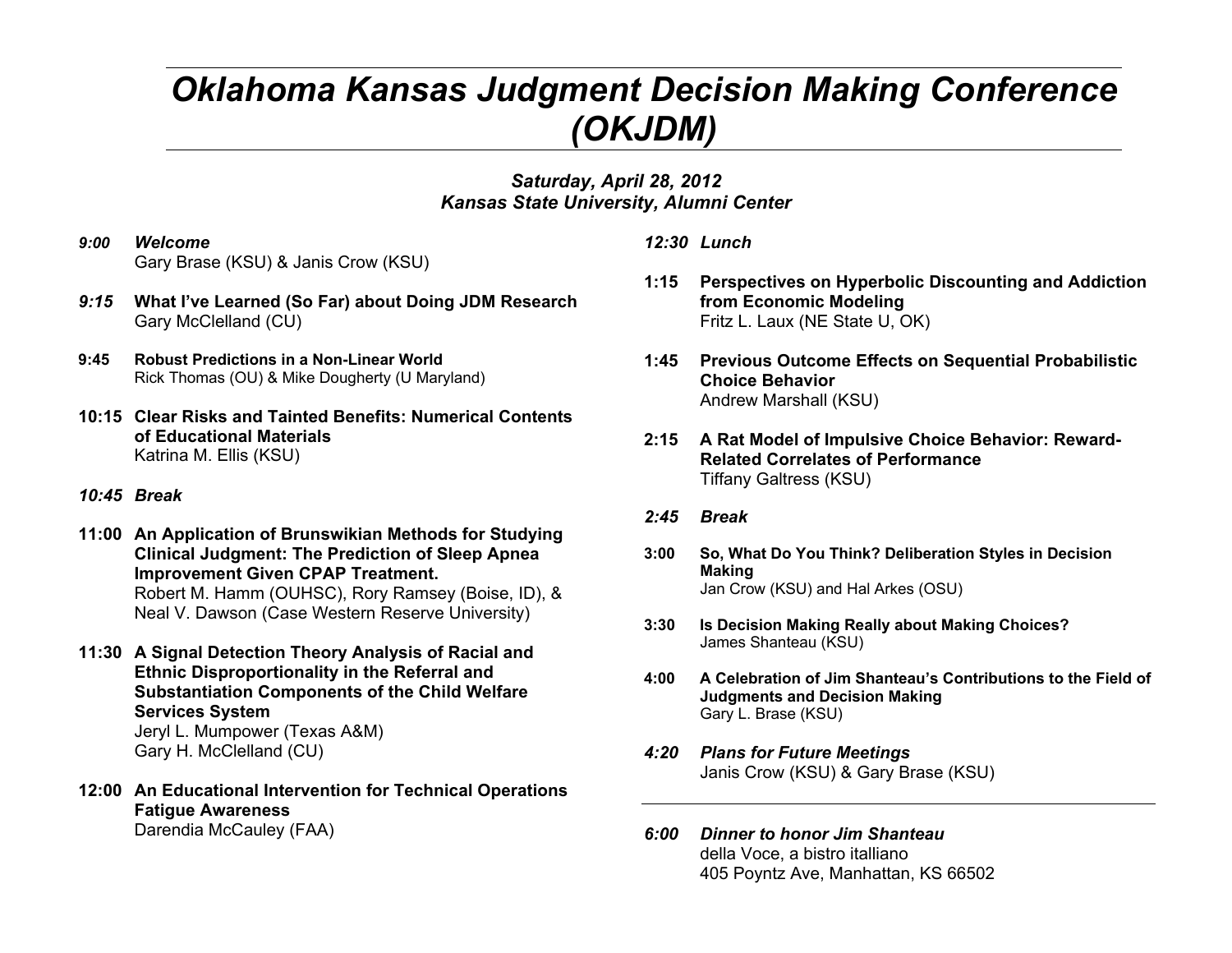# *Oklahoma Kansas Judgment Decision Making Conference (OKJDM)*

## *Saturday, April 28, 2012 Kansas State University, Alumni Center*

- *9:00 Welcome* Gary Brase (KSU) & Janis Crow (KSU)
- *9:15* **What I've Learned (So Far) about Doing JDM Research**  Gary McClelland (CU)
- **9:45 Robust Predictions in a Non-Linear World**Rick Thomas (OU) & Mike Dougherty (U Maryland)
- **10:15 Clear Risks and Tainted Benefits: Numerical Contents of Educational Materials** Katrina M. Ellis (KSU)
- *10:45 Break*
- **11:00 An Application of Brunswikian Methods for Studying Clinical Judgment: The Prediction of Sleep Apnea Improvement Given CPAP Treatment.**  Robert M. Hamm (OUHSC), Rory Ramsey (Boise, ID), & Neal V. Dawson (Case Western Reserve University)
- **11:30 A Signal Detection Theory Analysis of Racial and Ethnic Disproportionality in the Referral and Substantiation Components of the Child Welfare Services System**  Jeryl L. Mumpower (Texas A&M) Gary H. McClelland (CU)
- **12:00 An Educational Intervention for Technical Operations Fatigue Awareness**  Darendia McCauley (FAA)

*12:30 Lunch*

- **1:15 Perspectives on Hyperbolic Discounting and Addiction from Economic Modeling**  Fritz L. Laux (NE State U, OK)
- **1:45 Previous Outcome Effects on Sequential Probabilistic Choice Behavior** Andrew Marshall (KSU)
- **2:15 A Rat Model of Impulsive Choice Behavior: Reward-Related Correlates of Performance** Tiffany Galtress (KSU)
- *2:45 Break*
- **3:00 So, What Do You Think? Deliberation Styles in Decision Making**  Jan Crow (KSU) and Hal Arkes (OSU)
- **3:30 Is Decision Making Really about Making Choices?**  James Shanteau (KSU)
- **4:00 A Celebration of Jim Shanteau's Contributions to the Field of Judgments and Decision Making**  Gary L. Brase (KSU)
- *4:20 Plans for Future Meetings*  Janis Crow (KSU) & Gary Brase (KSU)
- *6:00 Dinner to honor Jim Shanteau* della Voce, a bistro italliano 405 Poyntz Ave, Manhattan, KS 66502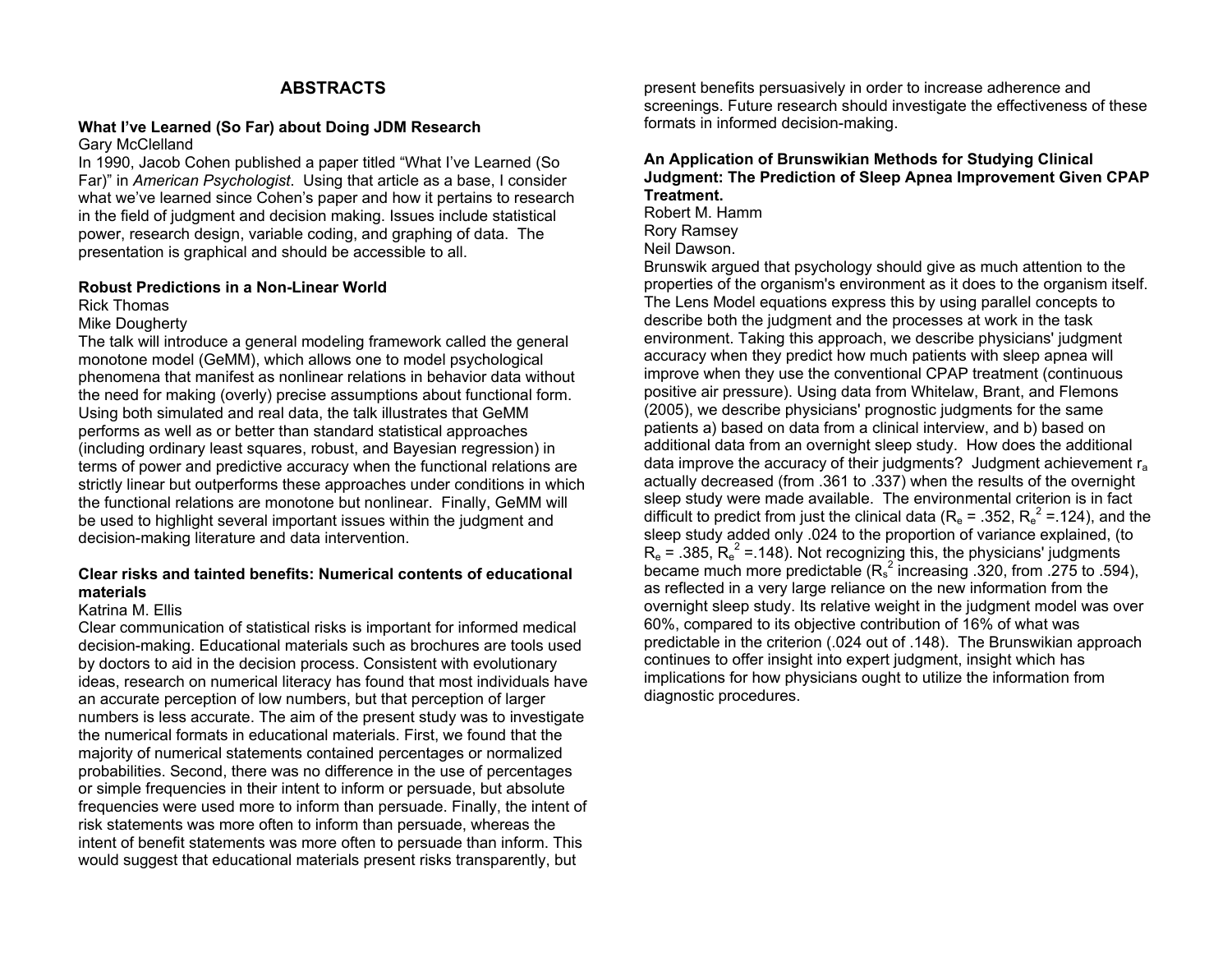#### **ABSTRACTS**

#### **What I've Learned (So Far) about Doing JDM Research**  Gary McClelland

In 1990, Jacob Cohen published a paper titled "What I've Learned (So Far)" in *American Psychologist*. Using that article as a base, I consider what we've learned since Cohen's paper and how it pertains to research in the field of judgment and decision making. Issues include statistical power, research design, variable coding, and graphing of data. The presentation is graphical and should be accessible to all.

#### **Robust Predictions in a Non-Linear World**

Rick Thomas

Mike Dougherty

The talk will introduce a general modeling framework called the general monotone model (GeMM), which allows one to model psychological phenomena that manifest as nonlinear relations in behavior data without the need for making (overly) precise assumptions about functional form. Using both simulated and real data, the talk illustrates that GeMM performs as well as or better than standard statistical approaches (including ordinary least squares, robust, and Bayesian regression) in terms of power and predictive accuracy when the functional relations are strictly linear but outperforms these approaches under conditions in which the functional relations are monotone but nonlinear. Finally, GeMM will be used to highlight several important issues within the judgment and decision-making literature and data intervention.

## **Clear risks and tainted benefits: Numerical contents of educational materials**

#### Katrina M. Ellis

Clear communication of statistical risks is important for informed medical decision-making. Educational materials such as brochures are tools used by doctors to aid in the decision process. Consistent with evolutionary ideas, research on numerical literacy has found that most individuals have an accurate perception of low numbers, but that perception of larger numbers is less accurate. The aim of the present study was to investigate the numerical formats in educational materials. First, we found that the majority of numerical statements contained percentages or normalized probabilities. Second, there was no difference in the use of percentages or simple frequencies in their intent to inform or persuade, but absolute frequencies were used more to inform than persuade. Finally, the intent of risk statements was more often to inform than persuade, whereas the intent of benefit statements was more often to persuade than inform. This would suggest that educational materials present risks transparently, but

present benefits persuasively in order to increase adherence and screenings. Future research should investigate the effectiveness of these formats in informed decision-making.

#### **An Application of Brunswikian Methods for Studying Clinical Judgment: The Prediction of Sleep Apnea Improvement Given CPAP Treatment.**

Robert M. Hamm

Rory Ramsey

Neil Dawson.

Brunswik argued that psychology should give as much attention to the properties of the organism's environment as it does to the organism itself. The Lens Model equations express this by using parallel concepts to describe both the judgment and the processes at work in the task environment. Taking this approach, we describe physicians' judgment accuracy when they predict how much patients with sleep apnea will improve when they use the conventional CPAP treatment (continuous positive air pressure). Using data from Whitelaw, Brant, and Flemons (2005), we describe physicians' prognostic judgments for the same patients a) based on data from a clinical interview, and b) based on additional data from an overnight sleep study. How does the additional data improve the accuracy of their judgments? Judgment achievement  $r_a$ actually decreased (from .361 to .337) when the results of the overnight sleep study were made available. The environmental criterion is in fact difficult to predict from just the clinical data ( $R_e$  = .352,  $R_e^2$  = 124), and the sleep study added only .024 to the proportion of variance explained, (to  $R_e$  = .385,  $R_e^2$  = 148). Not recognizing this, the physicians' judgments became much more predictable  $(R_s^2)$  increasing .320, from .275 to .594), as reflected in a very large reliance on the new information from the overnight sleep study. Its relative weight in the judgment model was over 60%, compared to its objective contribution of 16% of what was predictable in the criterion (.024 out of .148). The Brunswikian approach continues to offer insight into expert judgment, insight which has implications for how physicians ought to utilize the information from diagnostic procedures.